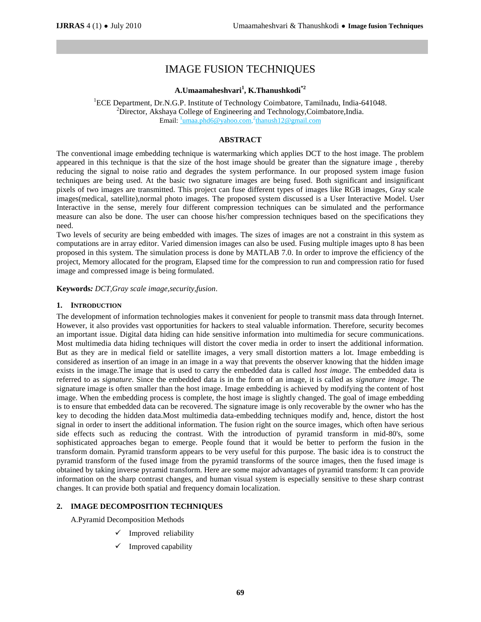# IMAGE FUSION TECHNIQUES

## **A.Umaamaheshvari<sup>1</sup> , K.Thanushkodi\*2**

<sup>1</sup>ECE Department, Dr.N.G.P. Institute of Technology Coimbatore, Tamilnadu, India-641048.  ${}^{2}$ Director, Akshaya College of Engineering and Technology, Coimbatore, India. Email:  $\frac{1}{2}$ umaa.phd6@yahoo.com,<sup>2</sup>thanush12@gmail.com

## **ABSTRACT**

The conventional image embedding technique is watermarking which applies DCT to the host image. The problem appeared in this technique is that the size of the host image should be greater than the signature image , thereby reducing the signal to noise ratio and degrades the system performance. In our proposed system image fusion techniques are being used. At the basic two signature images are being fused. Both significant and insignificant pixels of two images are transmitted. This project can fuse different types of images like RGB images, Gray scale images(medical, satellite),normal photo images. The proposed system discussed is a User Interactive Model. User Interactive in the sense, merely four different compression techniques can be simulated and the performance measure can also be done. The user can choose his/her compression techniques based on the specifications they need.

Two levels of security are being embedded with images. The sizes of images are not a constraint in this system as computations are in array editor. Varied dimension images can also be used. Fusing multiple images upto 8 has been proposed in this system. The simulation process is done by MATLAB 7.0. In order to improve the efficiency of the project, Memory allocated for the program, Elapsed time for the compression to run and compression ratio for fused image and compressed image is being formulated.

**Keywords***: DCT,Gray scale image,security,fusion*.

#### **1. INTRODUCTION**

The development of information technologies makes it convenient for people to transmit mass data through Internet. However, it also provides vast opportunities for hackers to steal valuable information. Therefore, security becomes an important issue. Digital data hiding can hide sensitive information into multimedia for secure communications. Most multimedia data hiding techniques will distort the cover media in order to insert the additional information. But as they are in medical field or satellite images, a very small distortion matters a lot. Image embedding is considered as insertion of an image in an image in a way that prevents the observer knowing that the hidden image exists in the image.The image that is used to carry the embedded data is called *host image*. The embedded data is referred to as *signature*. Since the embedded data is in the form of an image, it is called as *signature image*. The signature image is often smaller than the host image. Image embedding is achieved by modifying the content of host image. When the embedding process is complete, the host image is slightly changed. The goal of image embedding is to ensure that embedded data can be recovered. The signature image is only recoverable by the owner who has the key to decoding the hidden data.Most multimedia data-embedding techniques modify and, hence, distort the host signal in order to insert the additional information. The fusion right on the source images, which often have serious side effects such as reducing the contrast. With the introduction of pyramid transform in mid-80's, some sophisticated approaches began to emerge. People found that it would be better to perform the fusion in the transform domain. Pyramid transform appears to be very useful for this purpose. The basic idea is to construct the pyramid transform of the fused image from the pyramid transforms of the source images, then the fused image is obtained by taking inverse pyramid transform. Here are some major advantages of pyramid transform: It can provide information on the sharp contrast changes, and human visual system is especially sensitive to these sharp contrast changes. It can provide both spatial and frequency domain localization.

## **2. IMAGE DECOMPOSITION TECHNIQUES**

A.Pyramid Decomposition Methods

- Improved reliability
- Improved capability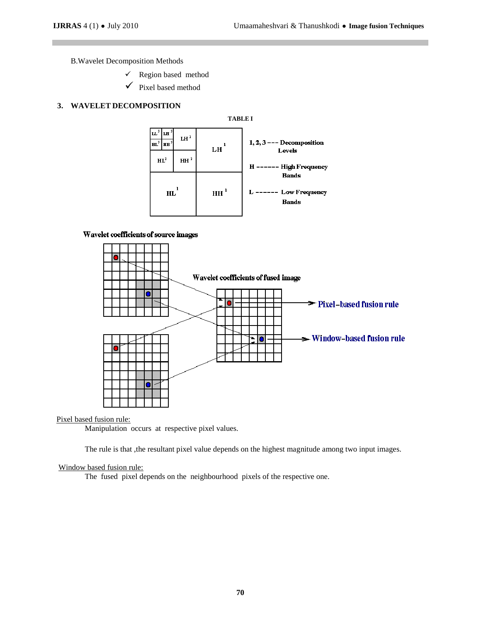B.Wavelet Decomposition Methods

 $\checkmark$  Region based method

 $\checkmark$  Pixel based method

## **3. WAVELET DECOMPOSITION**



#### Wavelet coefficients of source images



Pixel based fusion rule:

Manipulation occurs at respective pixel values.

The rule is that ,the resultant pixel value depends on the highest magnitude among two input images.

## Window based fusion rule:

The fused pixel depends on the neighbourhood pixels of the respective one.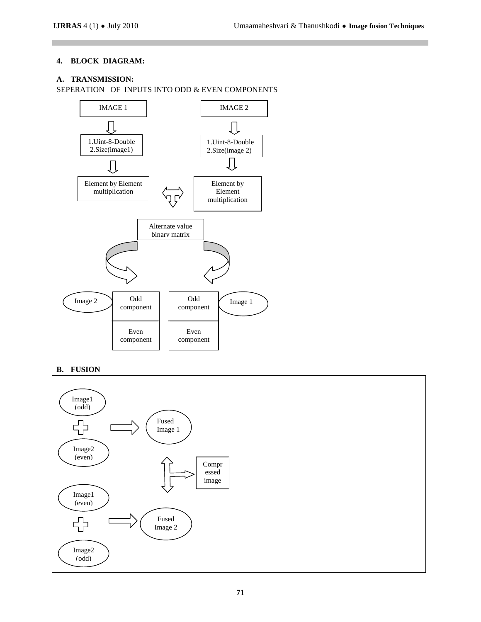## **4. BLOCK DIAGRAM:**

## **A. TRANSMISSION:**





**B. FUSION**

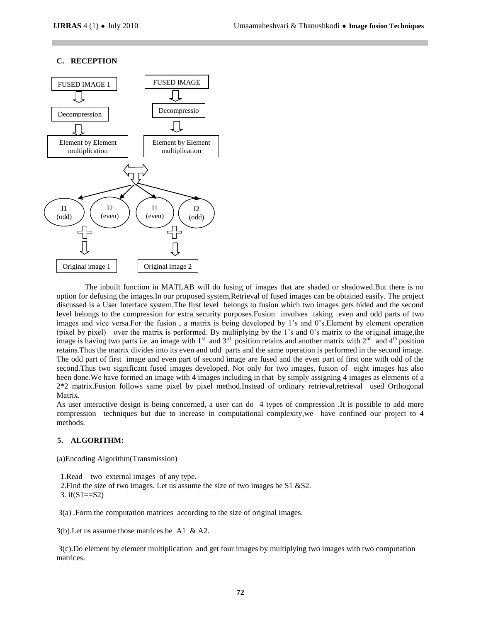## **C. RECEPTION**



The inbuilt function in MATLAB will do fusing of images that are shaded or shadowed.But there is no option for defusing the images.In our proposed system,Retrieval of fused images can be obtained easily. The project discussed is a User Interface system.The first level belongs to fusion which two images gets hided and the second level belongs to the compression for extra security purposes.Fusion involves taking even and odd parts of two images and vice versa.For the fusion , a matrix is being developed by 1's and 0's.Element by element operation (pixel by pixel) over the matrix is performed. By multiplying by the 1's and 0's matrix to the original image,the image is having two parts i.e. an image with 1<sup>st</sup> and 3<sup>rd</sup> position retains and another matrix with 2<sup>nd</sup> and 4<sup>th</sup> position retains.Thus the matrix divides into its even and odd parts and the same operation is performed in the second image. The odd part of first image and even part of second image are fused and the even part of first one with odd of the second.Thus two significant fused images developed. Not only for two images, fusion of eight images has also been done.We have formed an image with 4 images including in that by simply assigning 4 images as elements of a 2\*2 matrix.Fusion follows same pixel by pixel method.Instead of ordinary retrieval,retrieval used Orthogonal Matrix.

As user interactive design is being concerned, a user can do 4 types of compression .It is possible to add more compression techniques but due to increase in computational complexity,we have confined our project to 4 methods.

## **5. ALGORITHM:**

(a)Encoding Algorithm(Transmission)

1.Read two external images of any type.

 2.Find the size of two images. Let us assume the size of two images be S1 &S2. 3. if( $S1 == S2$ )

3(a) .Form the computation matrices according to the size of original images.

3(b).Let us assume those matrices be A1 & A2.

3(c).Do element by element multiplication and get four images by multiplying two images with two computation matrices.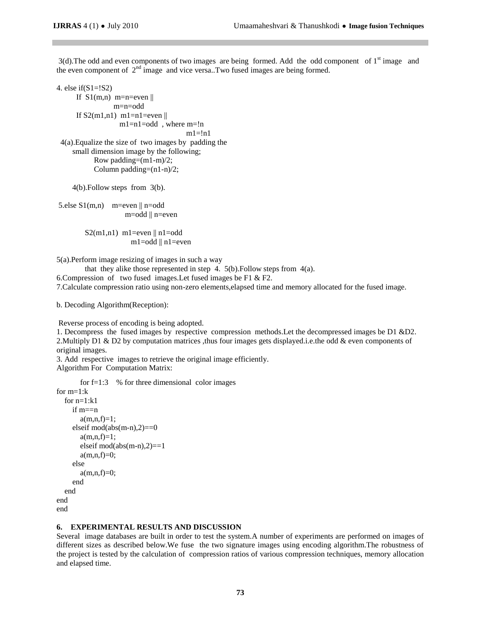3(d). The odd and even components of two images are being formed. Add the odd component of 1<sup>st</sup> image and the even component of  $2<sup>nd</sup>$  image and vice versa..Two fused images are being formed.

4. else if(S1=!S2) If  $S1(m,n)$  m=n=even || m=n=odd If  $S2(m1,n1)$  m1=n1=even ||  $m1=n1=odd$ , where  $m=!n$  $ml = !n1$  4(a).Equalize the size of two images by padding the small dimension image by the following; Row padding=(m1-m)/2; Column padding= $(n1-n)/2$ ;

4(b).Follow steps from 3(b).

5.else  $S1(m,n)$  m=even  $\parallel$  n=odd m=odd || n=even

> $S2(m1,n1)$  m1=even || n1=odd m1=odd || n1=even

5(a).Perform image resizing of images in such a way

that they alike those represented in step 4.  $5(b)$ . Follow steps from 4(a).

6.Compression of two fused images.Let fused images be F1 & F2.

7.Calculate compression ratio using non-zero elements,elapsed time and memory allocated for the fused image.

b. Decoding Algorithm(Reception):

Reverse process of encoding is being adopted.

1. Decompress the fused images by respective compression methods.Let the decompressed images be D1 &D2. 2. Multiply D1 & D2 by computation matrices ,thus four images gets displayed.i.e.the odd & even components of original images.

3. Add respective images to retrieve the original image efficiently. Algorithm For Computation Matrix:

```
for f=1:3 % for three dimensional color images
for m=1:kfor n=1:k1 if m==n
       a(m,n,f)=1;elseif mod(abs(m-n),2)=0a(m,n,f)=1;elseif mod(abs(m-n),2)=1a(m,n,f)=0; else
       a(m,n,f)=0; end
   end
end 
end
```
## **6. EXPERIMENTAL RESULTS AND DISCUSSION**

Several image databases are built in order to test the system.A number of experiments are performed on images of different sizes as described below.We fuse the two signature images using encoding algorithm.The robustness of the project is tested by the calculation of compression ratios of various compression techniques, memory allocation and elapsed time.